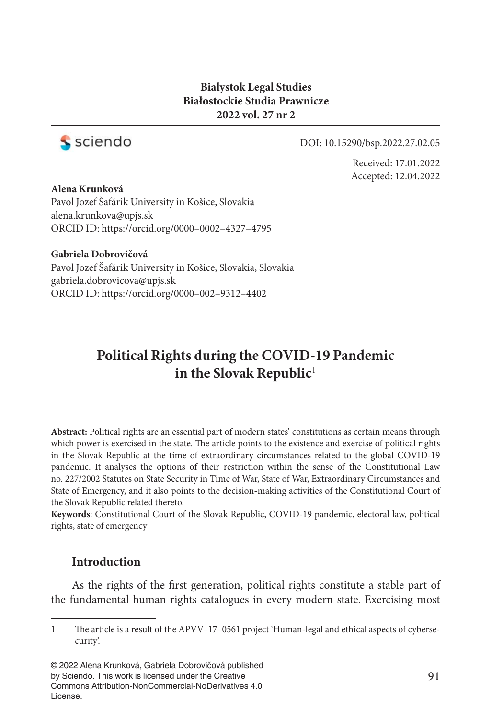### **Bialystok Legal Studies Białostockie Studia Prawnicze 2022 vol. 27 nr 2**



#### DOI: 10.15290/bsp.2022.27.02.05

Received: 17.01.2022 Accepted: 12.04.2022

**Alena Krunková** Pavol Jozef Šafárik University in Košice, Slovakia alena.krunkova@upjs.sk ORCID ID: https://orcid.org/0000–0002–4327–4795

#### **Gabriela Dobrovičová**

Pavol Jozef Šafárik University in Košice, Slovakia, Slovakia gabriela.dobrovicova@upjs.sk ORCID ID: https://orcid.org/0000–002–9312–4402

# **Political Rights during the COVID-19 Pandemic in the Slovak Republic**<sup>1</sup>

**Abstract:** Political rights are an essential part of modern states' constitutions as certain means through which power is exercised in the state. The article points to the existence and exercise of political rights in the Slovak Republic at the time of extraordinary circumstances related to the global COVID-19 pandemic. It analyses the options of their restriction within the sense of the Constitutional Law no. 227/2002 Statutes on State Security in Time of War, State of War, Extraordinary Circumstances and State of Emergency, and it also points to the decision-making activities of the Constitutional Court of the Slovak Republic related thereto.

**Keywords**: Constitutional Court of the Slovak Republic, COVID-19 pandemic, electoral law, political rights, state of emergency

### **Introduction**

As the rights of the first generation, political rights constitute a stable part of the fundamental human rights catalogues in every modern state. Exercising most

© 2022 Alena Krunková, Gabriela Dobrovičová published by Sciendo. This work is licensed under the Creative Commons Attribution-NonCommercial-NoDerivatives 4.0 License.

<sup>1</sup> The article is a result of the APVV–17–0561 project 'Human-legal and ethical aspects of cybersecurity'.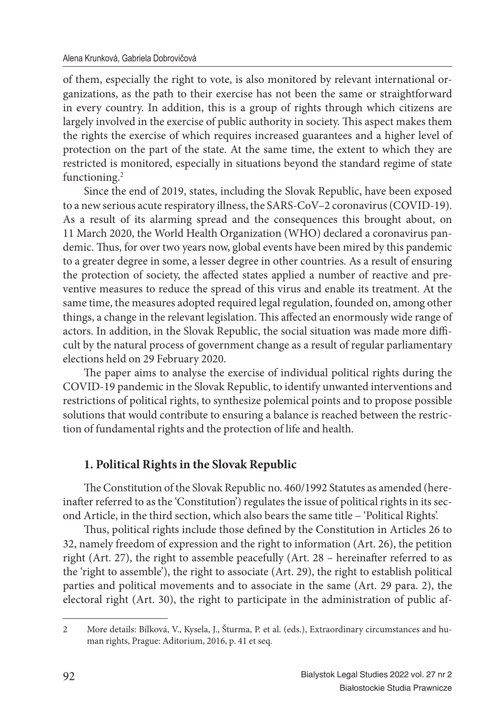of them, especially the right to vote, is also monitored by relevant international organizations, as the path to their exercise has not been the same or straightforward in every country. In addition, this is a group of rights through which citizens are largely involved in the exercise of public authority in society. This aspect makes them the rights the exercise of which requires increased guarantees and a higher level of protection on the part of the state. At the same time, the extent to which they are restricted is monitored, especially in situations beyond the standard regime of state functioning.<sup>2</sup>

Since the end of 2019, states, including the Slovak Republic, have been exposed to a new serious acute respiratory illness, the SARS-CoV–2 coronavirus (COVID-19). As a result of its alarming spread and the consequences this brought about, on 11 March 2020, the World Health Organization (WHO) declared a coronavirus pandemic. Thus, for over two years now, global events have been mired by this pandemic to a greater degree in some, a lesser degree in other countries. As a result of ensuring the protection of society, the affected states applied a number of reactive and preventive measures to reduce the spread of this virus and enable its treatment. At the same time, the measures adopted required legal regulation, founded on, among other things, a change in the relevant legislation. This affected an enormously wide range of actors. In addition, in the Slovak Republic, the social situation was made more difficult by the natural process of government change as a result of regular parliamentary elections held on 29 February 2020.

The paper aims to analyse the exercise of individual political rights during the COVID-19 pandemic in the Slovak Republic, to identify unwanted interventions and restrictions of political rights, to synthesize polemical points and to propose possible solutions that would contribute to ensuring a balance is reached between the restriction of fundamental rights and the protection of life and health.

## **1. Political Rights in the Slovak Republic**

The Constitution of the Slovak Republic no. 460/1992 Statutes as amended (hereinafter referred to as the 'Constitution') regulates the issue of political rights in its second Article, in the third section, which also bears the same title – 'Political Rights'.

Thus, political rights include those defined by the Constitution in Articles 26 to 32, namely freedom of expression and the right to information (Art. 26), the petition right (Art. 27), the right to assemble peacefully (Art. 28 - hereinafter referred to as the 'right to assemble'), the right to associate (Art. 29), the right to establish political parties and political movements and to associate in the same (Art. 29 para. 2), the electoral right (Art. 30), the right to participate in the administration of public af-

<sup>2</sup> More details: Bílková, V., Kysela, J., Šturma, P. et al. (eds.), Extraordinary circumstances and human rights, Prague: Aditorium, 2016, p. 41 et seq.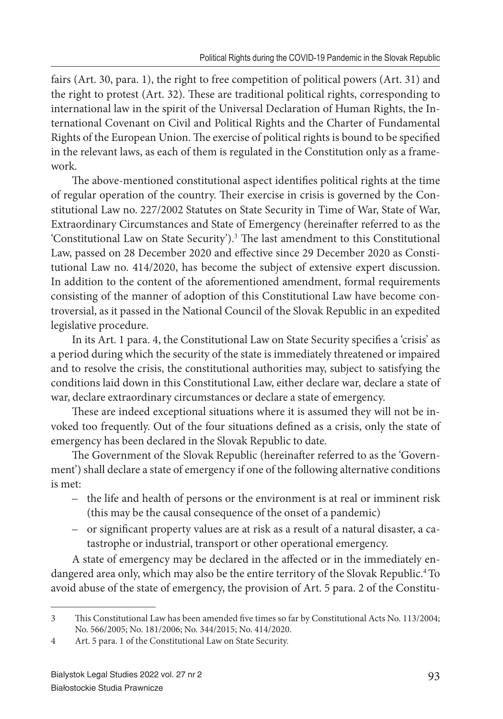fairs (Art. 30, para. 1), the right to free competition of political powers (Art. 31) and the right to protest (Art. 32). These are traditional political rights, corresponding to international law in the spirit of the Universal Declaration of Human Rights, the International Covenant on Civil and Political Rights and the Charter of Fundamental Rights of the European Union. The exercise of political rights is bound to be specified in the relevant laws, as each of them is regulated in the Constitution only as a framework.

The above-mentioned constitutional aspect identifies political rights at the time of regular operation of the country. Their exercise in crisis is governed by the Constitutional Law no. 227/2002 Statutes on State Security in Time of War, State of War, Extraordinary Circumstances and State of Emergency (hereinafter referred to as the 'Constitutional Law on State Security').<sup>3</sup> The last amendment to this Constitutional Law, passed on 28 December 2020 and effective since 29 December 2020 as Constitutional Law no. 414/2020, has become the subject of extensive expert discussion. In addition to the content of the aforementioned amendment, formal requirements consisting of the manner of adoption of this Constitutional Law have become controversial, as it passed in the National Council of the Slovak Republic in an expedited legislative procedure.

In its Art. 1 para. 4, the Constitutional Law on State Security specifies a 'crisis' as a period during which the security of the state is immediately threatened or impaired and to resolve the crisis, the constitutional authorities may, subject to satisfying the conditions laid down in this Constitutional Law, either declare war, declare a state of war, declare extraordinary circumstances or declare a state of emergency.

These are indeed exceptional situations where it is assumed they will not be invoked too frequently. Out of the four situations defined as a crisis, only the state of emergency has been declared in the Slovak Republic to date.

The Government of the Slovak Republic (hereinafter referred to as the 'Government') shall declare a state of emergency if one of the following alternative conditions is met:

- the life and health of persons or the environment is at real or imminent risk (this may be the causal consequence of the onset of a pandemic)
- or significant property values are at risk as a result of a natural disaster, a catastrophe or industrial, transport or other operational emergency.

A state of emergency may be declared in the affected or in the immediately endangered area only, which may also be the entire territory of the Slovak Republic.<sup>4</sup> To avoid abuse of the state of emergency, the provision of Art. 5 para. 2 of the Constitu-

<sup>3</sup> This Constitutional Law has been amended five times so far by Constitutional Acts No. 113/2004; No. 566/2005; No. 181/2006; No. 344/2015; No. 414/2020.

<sup>4</sup> Art. 5 para. 1 of the Constitutional Law on State Security.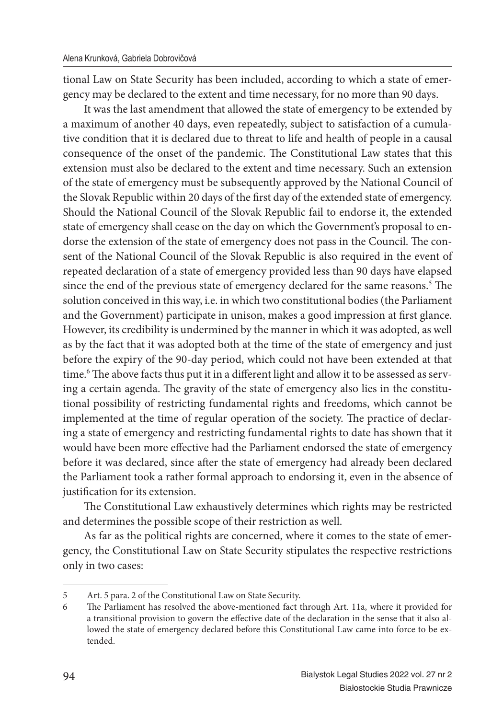tional Law on State Security has been included, according to which a state of emergency may be declared to the extent and time necessary, for no more than 90 days.

It was the last amendment that allowed the state of emergency to be extended by a maximum of another 40 days, even repeatedly, subject to satisfaction of a cumulative condition that it is declared due to threat to life and health of people in a causal consequence of the onset of the pandemic. The Constitutional Law states that this extension must also be declared to the extent and time necessary. Such an extension of the state of emergency must be subsequently approved by the National Council of the Slovak Republic within 20 days of the first day of the extended state of emergency. Should the National Council of the Slovak Republic fail to endorse it, the extended state of emergency shall cease on the day on which the Government's proposal to endorse the extension of the state of emergency does not pass in the Council. The consent of the National Council of the Slovak Republic is also required in the event of repeated declaration of a state of emergency provided less than 90 days have elapsed since the end of the previous state of emergency declared for the same reasons.<sup>5</sup> The solution conceived in this way, i.e. in which two constitutional bodies (the Parliament and the Government) participate in unison, makes a good impression at first glance. However, its credibility is undermined by the manner in which it was adopted, as well as by the fact that it was adopted both at the time of the state of emergency and just before the expiry of the 90-day period, which could not have been extended at that time.<sup>6</sup> The above facts thus put it in a different light and allow it to be assessed as serving a certain agenda. The gravity of the state of emergency also lies in the constitutional possibility of restricting fundamental rights and freedoms, which cannot be implemented at the time of regular operation of the society. The practice of declaring a state of emergency and restricting fundamental rights to date has shown that it would have been more effective had the Parliament endorsed the state of emergency before it was declared, since after the state of emergency had already been declared the Parliament took a rather formal approach to endorsing it, even in the absence of justification for its extension.

The Constitutional Law exhaustively determines which rights may be restricted and determines the possible scope of their restriction as well.

As far as the political rights are concerned, where it comes to the state of emergency, the Constitutional Law on State Security stipulates the respective restrictions only in two cases:

<sup>5</sup> Art. 5 para. 2 of the Constitutional Law on State Security.

<sup>6</sup> The Parliament has resolved the above-mentioned fact through Art. 11a, where it provided for a transitional provision to govern the effective date of the declaration in the sense that it also allowed the state of emergency declared before this Constitutional Law came into force to be extended.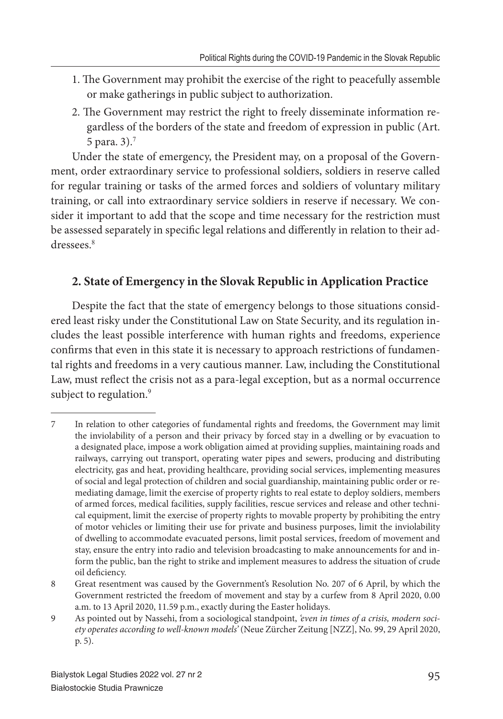- 1. The Government may prohibit the exercise of the right to peacefully assemble or make gatherings in public subject to authorization.
- 2. The Government may restrict the right to freely disseminate information regardless of the borders of the state and freedom of expression in public (Art. 5 para. 3).<sup>7</sup>

Under the state of emergency, the President may, on a proposal of the Government, order extraordinary service to professional soldiers, soldiers in reserve called for regular training or tasks of the armed forces and soldiers of voluntary military training, or call into extraordinary service soldiers in reserve if necessary. We consider it important to add that the scope and time necessary for the restriction must be assessed separately in specific legal relations and differently in relation to their addressees.<sup>8</sup>

## **2. State of Emergency in the Slovak Republic in Application Practice**

Despite the fact that the state of emergency belongs to those situations considered least risky under the Constitutional Law on State Security, and its regulation includes the least possible interference with human rights and freedoms, experience confirms that even in this state it is necessary to approach restrictions of fundamental rights and freedoms in a very cautious manner. Law, including the Constitutional Law, must reflect the crisis not as a para-legal exception, but as a normal occurrence subject to regulation.<sup>9</sup>

<sup>7</sup> In relation to other categories of fundamental rights and freedoms, the Government may limit the inviolability of a person and their privacy by forced stay in a dwelling or by evacuation to a designated place, impose a work obligation aimed at providing supplies, maintaining roads and railways, carrying out transport, operating water pipes and sewers, producing and distributing electricity, gas and heat, providing healthcare, providing social services, implementing measures of social and legal protection of children and social guardianship, maintaining public order or remediating damage, limit the exercise of property rights to real estate to deploy soldiers, members of armed forces, medical facilities, supply facilities, rescue services and release and other technical equipment, limit the exercise of property rights to movable property by prohibiting the entry of motor vehicles or limiting their use for private and business purposes, limit the inviolability of dwelling to accommodate evacuated persons, limit postal services, freedom of movement and stay, ensure the entry into radio and television broadcasting to make announcements for and inform the public, ban the right to strike and implement measures to address the situation of crude oil deficiency.

<sup>8</sup> Great resentment was caused by the Government's Resolution No. 207 of 6 April, by which the Government restricted the freedom of movement and stay by a curfew from 8 April 2020, 0.00 a.m. to 13 April 2020, 11.59 p.m., exactly during the Easter holidays.

<sup>9</sup> As pointed out by Nassehi, from a sociological standpoint, *'even in times of a crisis, modern society operates according to well-known models'* (Neue Zürcher Zeitung [NZZ], No. 99, 29 April 2020, p. 5).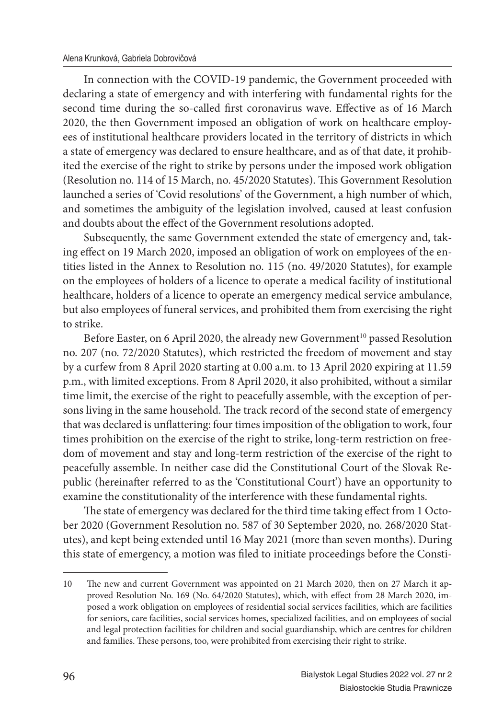In connection with the COVID-19 pandemic, the Government proceeded with declaring a state of emergency and with interfering with fundamental rights for the second time during the so-called first coronavirus wave. Effective as of 16 March 2020, the then Government imposed an obligation of work on healthcare employees of institutional healthcare providers located in the territory of districts in which a state of emergency was declared to ensure healthcare, and as of that date, it prohibited the exercise of the right to strike by persons under the imposed work obligation (Resolution no. 114 of 15 March, no. 45/2020 Statutes). This Government Resolution launched a series of 'Covid resolutions' of the Government, a high number of which, and sometimes the ambiguity of the legislation involved, caused at least confusion and doubts about the effect of the Government resolutions adopted.

Subsequently, the same Government extended the state of emergency and, taking effect on 19 March 2020, imposed an obligation of work on employees of the entities listed in the Annex to Resolution no. 115 (no. 49/2020 Statutes), for example on the employees of holders of a licence to operate a medical facility of institutional healthcare, holders of a licence to operate an emergency medical service ambulance, but also employees of funeral services, and prohibited them from exercising the right to strike.

Before Easter, on 6 April 2020, the already new Government<sup>10</sup> passed Resolution no. 207 (no. 72/2020 Statutes), which restricted the freedom of movement and stay by a curfew from 8 April 2020 starting at 0.00 a.m. to 13 April 2020 expiring at 11.59 p.m., with limited exceptions. From 8 April 2020, it also prohibited, without a similar time limit, the exercise of the right to peacefully assemble, with the exception of persons living in the same household. The track record of the second state of emergency that was declared is unflattering: four times imposition of the obligation to work, four times prohibition on the exercise of the right to strike, long-term restriction on freedom of movement and stay and long-term restriction of the exercise of the right to peacefully assemble. In neither case did the Constitutional Court of the Slovak Republic (hereinafter referred to as the 'Constitutional Court') have an opportunity to examine the constitutionality of the interference with these fundamental rights.

The state of emergency was declared for the third time taking effect from 1 October 2020 (Government Resolution no. 587 of 30 September 2020, no. 268/2020 Statutes), and kept being extended until 16 May 2021 (more than seven months). During this state of emergency, a motion was filed to initiate proceedings before the Consti-

<sup>10</sup> The new and current Government was appointed on 21 March 2020, then on 27 March it approved Resolution No. 169 (No. 64/2020 Statutes), which, with effect from 28 March 2020, imposed a work obligation on employees of residential social services facilities, which are facilities for seniors, care facilities, social services homes, specialized facilities, and on employees of social and legal protection facilities for children and social guardianship, which are centres for children and families. These persons, too, were prohibited from exercising their right to strike.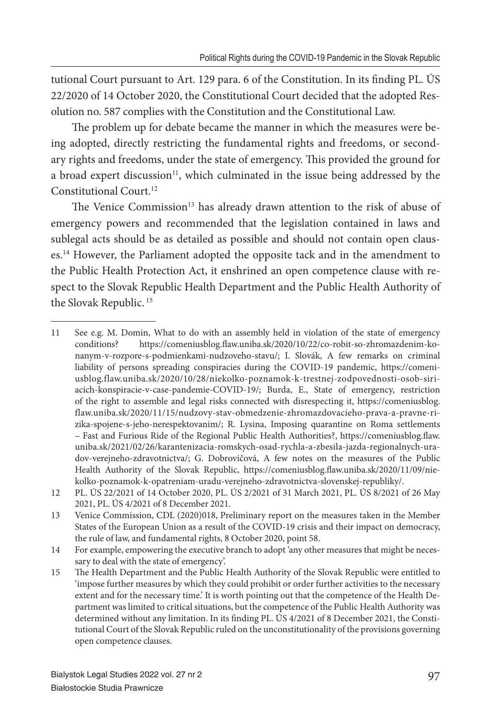tutional Court pursuant to Art. 129 para. 6 of the Constitution. In its finding PL. ÚS 22/2020 of 14 October 2020, the Constitutional Court decided that the adopted Resolution no. 587 complies with the Constitution and the Constitutional Law.

The problem up for debate became the manner in which the measures were being adopted, directly restricting the fundamental rights and freedoms, or secondary rights and freedoms, under the state of emergency. This provided the ground for a broad expert discussion<sup>11</sup>, which culminated in the issue being addressed by the Constitutional Court.<sup>12</sup>

The Venice Commission<sup>13</sup> has already drawn attention to the risk of abuse of emergency powers and recommended that the legislation contained in laws and sublegal acts should be as detailed as possible and should not contain open clauses.<sup>14</sup> However, the Parliament adopted the opposite tack and in the amendment to the Public Health Protection Act, it enshrined an open competence clause with respect to the Slovak Republic Health Department and the Public Health Authority of the Slovak Republic.<sup>15</sup>

<sup>11</sup> See e.g. M. Domin, What to do with an assembly held in violation of the state of emergency conditions? https://comeniusblog.fl aw.uniba.sk/2020/10/22/co-robit-so-zhromazdenim-konanym-v-rozpore-s-podmienkami-nudzoveho-stavu/; I. Slovák, A few remarks on criminal liability of persons spreading conspiracies during the COVID-19 pandemic, https://comeniusblog.flaw.uniba.sk/2020/10/28/niekolko-poznamok-k-trestnej-zodpovednosti-osob-siriacich-konspiracie-v-case-pandemie-COVID-19/; Burda, E., State of emergency, restriction of the right to assemble and legal risks connected with disrespecting it, https://comeniusblog. flaw.uniba.sk/2020/11/15/nudzovy-stav-obmedzenie-zhromazdovacieho-prava-a-pravne-rizika-spojene-s-jeho-nerespektovanim/; R. Lysina, Imposing quarantine on Roma settlements – Fast and Furious Ride of the Regional Public Health Authorities?, https://comeniusblog.flaw. uniba.sk/2021/02/26/karantenizacia-romskych-osad-rychla-a-zbesila-jazda-regionalnych-uradov-verejneho-zdravotnictva/; G. Dobrovičová, A few notes on the measures of the Public Health Authority of the Slovak Republic, https://comeniusblog.flaw.uniba.sk/2020/11/09/niekolko-poznamok-k-opatreniam-uradu-verejneho-zdravotnictva-slovenskej-republiky/.

<sup>12</sup> PL. ÚS 22/2021 of 14 October 2020, PL. ÚS 2/2021 of 31 March 2021, PL. ÚS 8/2021 of 26 May 2021, PL. ÚS 4/2021 of 8 December 2021.

<sup>13</sup> Venice Commission, CDL (2020)018, Preliminary report on the measures taken in the Member States of the European Union as a result of the COVID-19 crisis and their impact on democracy, the rule of law, and fundamental rights, 8 October 2020, point 58.

<sup>14</sup> For example, empowering the executive branch to adopt 'any other measures that might be necessary to deal with the state of emergency'.

<sup>15</sup> Th e Health Department and the Public Health Authority of the Slovak Republic were entitled to 'impose further measures by which they could prohibit or order further activities to the necessary extent and for the necessary time.' It is worth pointing out that the competence of the Health Department was limited to critical situations, but the competence of the Public Health Authority was determined without any limitation. In its finding PL. ÚS 4/2021 of 8 December 2021, the Constitutional Court of the Slovak Republic ruled on the unconstitutionality of the provisions governing open competence clauses.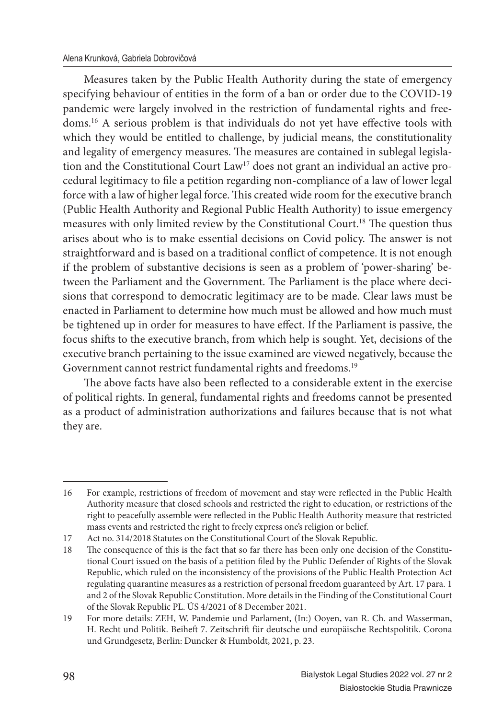Measures taken by the Public Health Authority during the state of emergency specifying behaviour of entities in the form of a ban or order due to the COVID-19 pandemic were largely involved in the restriction of fundamental rights and freedoms.<sup>16</sup> A serious problem is that individuals do not yet have effective tools with which they would be entitled to challenge, by judicial means, the constitutionality and legality of emergency measures. The measures are contained in sublegal legislation and the Constitutional Court Law<sup>17</sup> does not grant an individual an active procedural legitimacy to file a petition regarding non-compliance of a law of lower legal force with a law of higher legal force. This created wide room for the executive branch (Public Health Authority and Regional Public Health Authority) to issue emergency measures with only limited review by the Constitutional Court.<sup>18</sup> The question thus arises about who is to make essential decisions on Covid policy. The answer is not straightforward and is based on a traditional conflict of competence. It is not enough if the problem of substantive decisions is seen as a problem of 'power-sharing' between the Parliament and the Government. The Parliament is the place where decisions that correspond to democratic legitimacy are to be made. Clear laws must be enacted in Parliament to determine how much must be allowed and how much must be tightened up in order for measures to have effect. If the Parliament is passive, the focus shifts to the executive branch, from which help is sought. Yet, decisions of the executive branch pertaining to the issue examined are viewed negatively, because the Government cannot restrict fundamental rights and freedoms.<sup>19</sup>

The above facts have also been reflected to a considerable extent in the exercise of political rights. In general, fundamental rights and freedoms cannot be presented as a product of administration authorizations and failures because that is not what they are.

<sup>16</sup> For example, restrictions of freedom of movement and stay were reflected in the Public Health Authority measure that closed schools and restricted the right to education, or restrictions of the right to peacefully assemble were reflected in the Public Health Authority measure that restricted mass events and restricted the right to freely express one's religion or belief.

<sup>17</sup> Act no. 314/2018 Statutes on the Constitutional Court of the Slovak Republic.

<sup>18</sup> The consequence of this is the fact that so far there has been only one decision of the Constitutional Court issued on the basis of a petition filed by the Public Defender of Rights of the Slovak Republic, which ruled on the inconsistency of the provisions of the Public Health Protection Act regulating quarantine measures as a restriction of personal freedom guaranteed by Art. 17 para. 1 and 2 of the Slovak Republic Constitution. More details in the Finding of the Constitutional Court of the Slovak Republic PL. ÚS 4/2021 of 8 December 2021.

<sup>19</sup> For more details: ZEH, W. Pandemie und Parlament, (In:) Ooyen, van R. Ch. and Wasserman, H. Recht und Politik. Beiheft 7. Zeitschrift für deutsche und europäische Rechtspolitik. Corona und Grundgesetz, Berlin: Duncker & Humboldt, 2021, p. 23.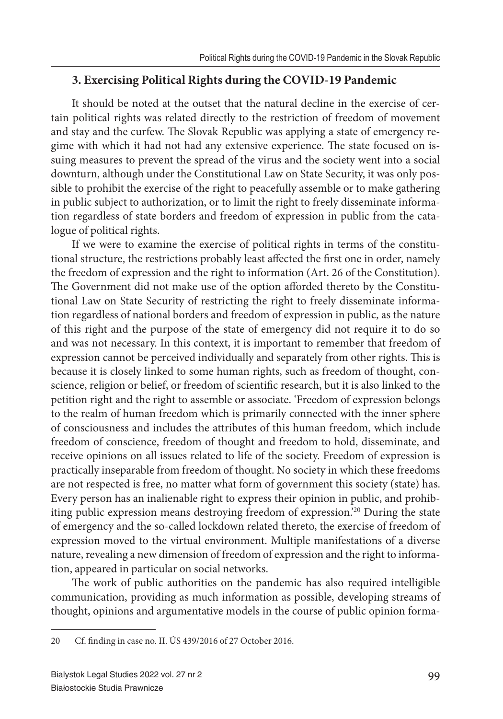## **3. Exercising Political Rights during the COVID-19 Pandemic**

It should be noted at the outset that the natural decline in the exercise of certain political rights was related directly to the restriction of freedom of movement and stay and the curfew. The Slovak Republic was applying a state of emergency regime with which it had not had any extensive experience. The state focused on issuing measures to prevent the spread of the virus and the society went into a social downturn, although under the Constitutional Law on State Security, it was only possible to prohibit the exercise of the right to peacefully assemble or to make gathering in public subject to authorization, or to limit the right to freely disseminate information regardless of state borders and freedom of expression in public from the catalogue of political rights.

If we were to examine the exercise of political rights in terms of the constitutional structure, the restrictions probably least affected the first one in order, namely the freedom of expression and the right to information (Art. 26 of the Constitution). The Government did not make use of the option afforded thereto by the Constitutional Law on State Security of restricting the right to freely disseminate information regardless of national borders and freedom of expression in public, as the nature of this right and the purpose of the state of emergency did not require it to do so and was not necessary. In this context, it is important to remember that freedom of expression cannot be perceived individually and separately from other rights. This is because it is closely linked to some human rights, such as freedom of thought, conscience, religion or belief, or freedom of scientific research, but it is also linked to the petition right and the right to assemble or associate. 'Freedom of expression belongs to the realm of human freedom which is primarily connected with the inner sphere of consciousness and includes the attributes of this human freedom, which include freedom of conscience, freedom of thought and freedom to hold, disseminate, and receive opinions on all issues related to life of the society. Freedom of expression is practically inseparable from freedom of thought. No society in which these freedoms are not respected is free, no matter what form of government this society (state) has. Every person has an inalienable right to express their opinion in public, and prohibiting public expression means destroying freedom of expression.'<sup>20</sup> During the state of emergency and the so-called lockdown related thereto, the exercise of freedom of expression moved to the virtual environment. Multiple manifestations of a diverse nature, revealing a new dimension of freedom of expression and the right to information, appeared in particular on social networks.

The work of public authorities on the pandemic has also required intelligible communication, providing as much information as possible, developing streams of thought, opinions and argumentative models in the course of public opinion forma-

<sup>20</sup> Cf. finding in case no. II. ÚS 439/2016 of 27 October 2016.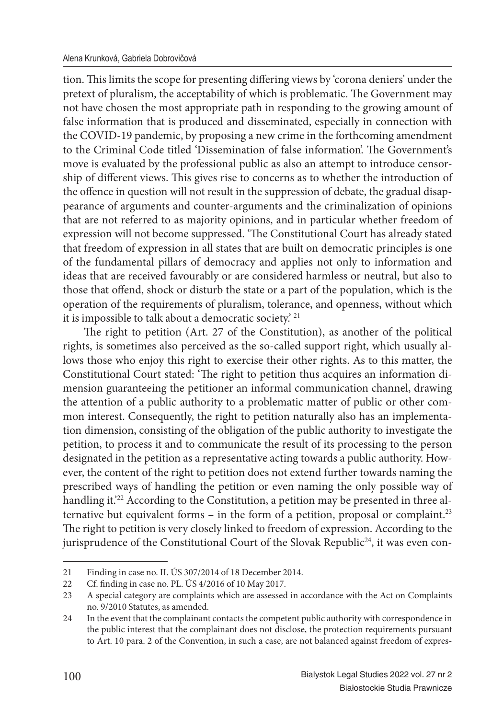tion. This limits the scope for presenting differing views by 'corona deniers' under the pretext of pluralism, the acceptability of which is problematic. The Government may not have chosen the most appropriate path in responding to the growing amount of false information that is produced and disseminated, especially in connection with the COVID-19 pandemic, by proposing a new crime in the forthcoming amendment to the Criminal Code titled 'Dissemination of false information'. The Government's move is evaluated by the professional public as also an attempt to introduce censorship of different views. This gives rise to concerns as to whether the introduction of the offence in question will not result in the suppression of debate, the gradual disappearance of arguments and counter-arguments and the criminalization of opinions that are not referred to as majority opinions, and in particular whether freedom of expression will not become suppressed. 'The Constitutional Court has already stated that freedom of expression in all states that are built on democratic principles is one of the fundamental pillars of democracy and applies not only to information and ideas that are received favourably or are considered harmless or neutral, but also to those that offend, shock or disturb the state or a part of the population, which is the operation of the requirements of pluralism, tolerance, and openness, without which it is impossible to talk about a democratic society.' <sup>21</sup>

The right to petition (Art. 27 of the Constitution), as another of the political rights, is sometimes also perceived as the so-called support right, which usually allows those who enjoy this right to exercise their other rights. As to this matter, the Constitutional Court stated: 'The right to petition thus acquires an information dimension guaranteeing the petitioner an informal communication channel, drawing the attention of a public authority to a problematic matter of public or other common interest. Consequently, the right to petition naturally also has an implementation dimension, consisting of the obligation of the public authority to investigate the petition, to process it and to communicate the result of its processing to the person designated in the petition as a representative acting towards a public authority. However, the content of the right to petition does not extend further towards naming the prescribed ways of handling the petition or even naming the only possible way of handling it.<sup>22</sup> According to the Constitution, a petition may be presented in three alternative but equivalent forms – in the form of a petition, proposal or complaint.<sup>23</sup> The right to petition is very closely linked to freedom of expression. According to the jurisprudence of the Constitutional Court of the Slovak Republic<sup>24</sup>, it was even con-

<sup>21</sup> Finding in case no. II. ÚS 307/2014 of 18 December 2014.<br>22 Cf finding in case no. PL 11S 4/2016 of 10 May 2017

Cf. finding in case no. PL. ÚS 4/2016 of 10 May 2017.

<sup>23</sup> A special category are complaints which are assessed in accordance with the Act on Complaints no. 9/2010 Statutes, as amended.

<sup>24</sup> In the event that the complainant contacts the competent public authority with correspondence in the public interest that the complainant does not disclose, the protection requirements pursuant to Art. 10 para. 2 of the Convention, in such a case, are not balanced against freedom of expres-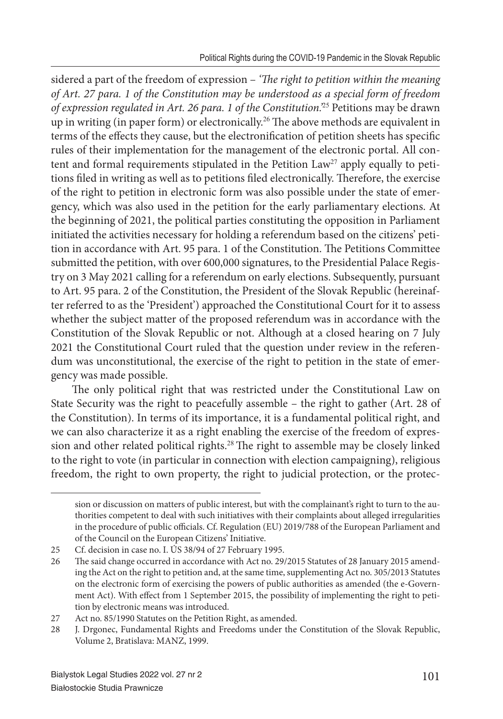sidered a part of the freedom of expression – *'The right to petition within the meaning of Art. 27 para. 1 of the Constitution may be understood as a special form of freedom of expression regulated in Art. 26 para. 1 of the Constitution.'*<sup>25</sup> Petitions may be drawn up in writing (in paper form) or electronically.<sup>26</sup> The above methods are equivalent in terms of the effects they cause, but the electronification of petition sheets has specific rules of their implementation for the management of the electronic portal. All content and formal requirements stipulated in the Petition Law<sup>27</sup> apply equally to petitions filed in writing as well as to petitions filed electronically. Therefore, the exercise of the right to petition in electronic form was also possible under the state of emergency, which was also used in the petition for the early parliamentary elections. At the beginning of 2021, the political parties constituting the opposition in Parliament initiated the activities necessary for holding a referendum based on the citizens' petition in accordance with Art. 95 para. 1 of the Constitution. The Petitions Committee submitted the petition, with over 600,000 signatures, to the Presidential Palace Registry on 3 May 2021 calling for a referendum on early elections. Subsequently, pursuant to Art. 95 para. 2 of the Constitution, the President of the Slovak Republic (hereinafter referred to as the 'President') approached the Constitutional Court for it to assess whether the subject matter of the proposed referendum was in accordance with the Constitution of the Slovak Republic or not. Although at a closed hearing on 7 July 2021 the Constitutional Court ruled that the question under review in the referendum was unconstitutional, the exercise of the right to petition in the state of emergency was made possible.

The only political right that was restricted under the Constitutional Law on State Security was the right to peacefully assemble – the right to gather (Art. 28 of the Constitution). In terms of its importance, it is a fundamental political right, and we can also characterize it as a right enabling the exercise of the freedom of expression and other related political rights.<sup>28</sup> The right to assemble may be closely linked to the right to vote (in particular in connection with election campaigning), religious freedom, the right to own property, the right to judicial protection, or the protec-

sion or discussion on matters of public interest, but with the complainant's right to turn to the authorities competent to deal with such initiatives with their complaints about alleged irregularities in the procedure of public officials. Cf. Regulation (EU) 2019/788 of the European Parliament and of the Council on the European Citizens' Initiative.

<sup>25</sup> Cf. decision in case no. I. ÚS 38/94 of 27 February 1995.

<sup>26</sup> The said change occurred in accordance with Act no. 29/2015 Statutes of 28 January 2015 amending the Act on the right to petition and, at the same time, supplementing Act no. 305/2013 Statutes on the electronic form of exercising the powers of public authorities as amended (the e-Government Act). With effect from 1 September 2015, the possibility of implementing the right to petition by electronic means was introduced.

<sup>27</sup> Act no. 85/1990 Statutes on the Petition Right, as amended.

<sup>28</sup> J. Drgonec, Fundamental Rights and Freedoms under the Constitution of the Slovak Republic, Volume 2, Bratislava: MANZ, 1999.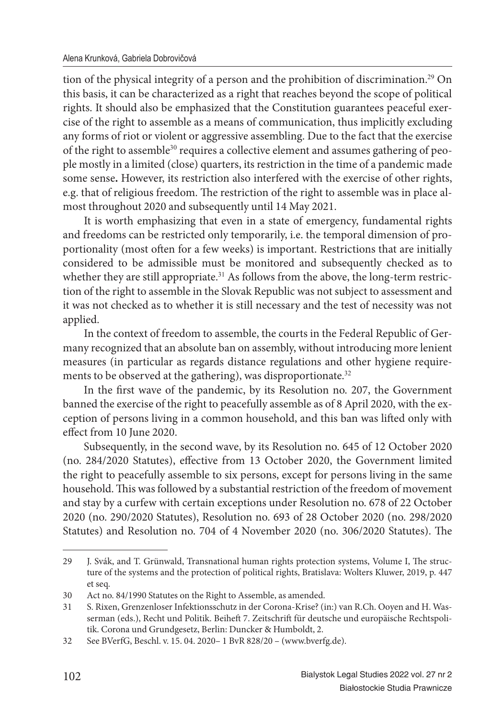tion of the physical integrity of a person and the prohibition of discrimination.<sup>29</sup> On this basis, it can be characterized as a right that reaches beyond the scope of political rights. It should also be emphasized that the Constitution guarantees peaceful exercise of the right to assemble as a means of communication, thus implicitly excluding any forms of riot or violent or aggressive assembling. Due to the fact that the exercise of the right to assemble<sup>30</sup> requires a collective element and assumes gathering of people mostly in a limited (close) quarters, its restriction in the time of a pandemic made some sense**.** However, its restriction also interfered with the exercise of other rights, e.g. that of religious freedom. The restriction of the right to assemble was in place almost throughout 2020 and subsequently until 14 May 2021.

It is worth emphasizing that even in a state of emergency, fundamental rights and freedoms can be restricted only temporarily, i.e. the temporal dimension of proportionality (most often for a few weeks) is important. Restrictions that are initially considered to be admissible must be monitored and subsequently checked as to whether they are still appropriate.<sup>31</sup> As follows from the above, the long-term restriction of the right to assemble in the Slovak Republic was not subject to assessment and it was not checked as to whether it is still necessary and the test of necessity was not applied.

In the context of freedom to assemble, the courts in the Federal Republic of Germany recognized that an absolute ban on assembly, without introducing more lenient measures (in particular as regards distance regulations and other hygiene requirements to be observed at the gathering), was disproportionate.<sup>32</sup>

In the first wave of the pandemic, by its Resolution no. 207, the Government banned the exercise of the right to peacefully assemble as of 8 April 2020, with the exception of persons living in a common household, and this ban was lifted only with effect from 10 June 2020.

Subsequently, in the second wave, by its Resolution no. 645 of 12 October 2020 (no. 284/2020 Statutes), effective from 13 October 2020, the Government limited the right to peacefully assemble to six persons, except for persons living in the same household. This was followed by a substantial restriction of the freedom of movement and stay by a curfew with certain exceptions under Resolution no. 678 of 22 October 2020 (no. 290/2020 Statutes), Resolution no. 693 of 28 October 2020 (no. 298/2020 Statutes) and Resolution no. 704 of 4 November 2020 (no. 306/2020 Statutes). The

<sup>29</sup> J. Svák, and T. Grünwald, Transnational human rights protection systems, Volume I, The structure of the systems and the protection of political rights, Bratislava: Wolters Kluwer, 2019, p. 447 et seq.

<sup>30</sup> Act no. 84/1990 Statutes on the Right to Assemble, as amended.

<sup>31</sup> S. Rixen, Grenzenloser Infektionsschutz in der Corona-Krise? (in:) van R.Ch. Ooyen and H. Wasserman (eds.), Recht und Politik. Beiheft 7. Zeitschrift für deutsche und europäische Rechtspolitik. Corona und Grundgesetz, Berlin: Duncker & Humboldt, 2.

<sup>32</sup> See BVerfG, Beschl. v. 15. 04. 2020– 1 BvR 828/20 – (www.bverfg.de).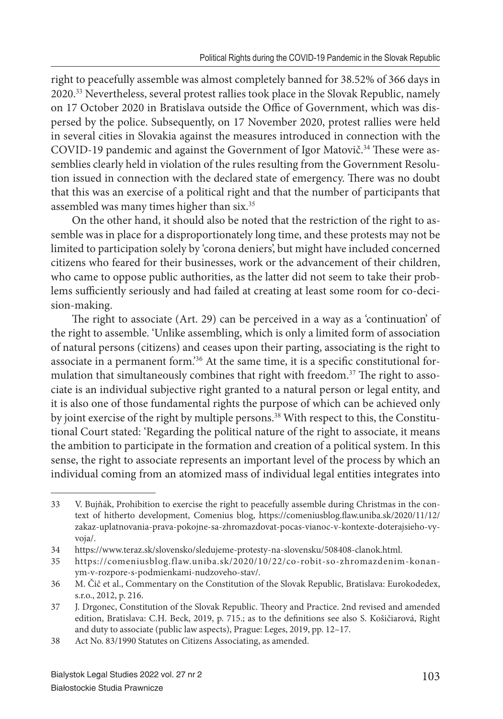right to peacefully assemble was almost completely banned for 38.52% of 366 days in 2020.<sup>33</sup> Nevertheless, several protest rallies took place in the Slovak Republic, namely on 17 October 2020 in Bratislava outside the Office of Government, which was dispersed by the police. Subsequently, on 17 November 2020, protest rallies were held in several cities in Slovakia against the measures introduced in connection with the COVID-19 pandemic and against the Government of Igor Matovič.<sup>34</sup> These were assemblies clearly held in violation of the rules resulting from the Government Resolution issued in connection with the declared state of emergency. There was no doubt that this was an exercise of a political right and that the number of participants that assembled was many times higher than six.<sup>35</sup>

On the other hand, it should also be noted that the restriction of the right to assemble was in place for a disproportionately long time, and these protests may not be limited to participation solely by 'corona deniers', but might have included concerned citizens who feared for their businesses, work or the advancement of their children, who came to oppose public authorities, as the latter did not seem to take their problems sufficiently seriously and had failed at creating at least some room for co-decision-making.

The right to associate (Art. 29) can be perceived in a way as a 'continuation' of the right to assemble. 'Unlike assembling, which is only a limited form of association of natural persons (citizens) and ceases upon their parting, associating is the right to associate in a permanent form.<sup>36</sup> At the same time, it is a specific constitutional formulation that simultaneously combines that right with freedom.<sup>37</sup> The right to associate is an individual subjective right granted to a natural person or legal entity, and it is also one of those fundamental rights the purpose of which can be achieved only by joint exercise of the right by multiple persons.<sup>38</sup> With respect to this, the Constitutional Court stated: 'Regarding the political nature of the right to associate, it means the ambition to participate in the formation and creation of a political system. In this sense, the right to associate represents an important level of the process by which an individual coming from an atomized mass of individual legal entities integrates into

<sup>33</sup> V. Bujňák, Prohibition to exercise the right to peacefully assemble during Christmas in the context of hitherto development, Comenius blog, https://comeniusblog.flaw.uniba.sk/2020/11/12/ zakaz-uplatnovania-prava-pokojne-sa-zhromazdovat-pocas-vianoc-v-kontexte-doterajsieho-vyvoja/.

<sup>34</sup> https://www.teraz.sk/slovensko/sledujeme-protesty-na-slovensku/508408-clanok.html.

<sup>35</sup> https://comeniusblog.flaw.uniba.sk/2020/10/22/co-robit-so-zhromazdenim-konanym-v-rozpore-s-podmienkami-nudzoveho-stav/.

<sup>36</sup> M. Čič et al., Commentary on the Constitution of the Slovak Republic, Bratislava: Eurokodedex, s.r.o., 2012, p. 216.

<sup>37</sup> J. Drgonec, Constitution of the Slovak Republic. Theory and Practice. 2nd revised and amended edition, Bratislava: C.H. Beck, 2019, p. 715.; as to the definitions see also S. Košičiarová, Right and duty to associate (public law aspects), Prague: Leges, 2019, pp. 12–17.

<sup>38</sup> Act No. 83/1990 Statutes on Citizens Associating, as amended.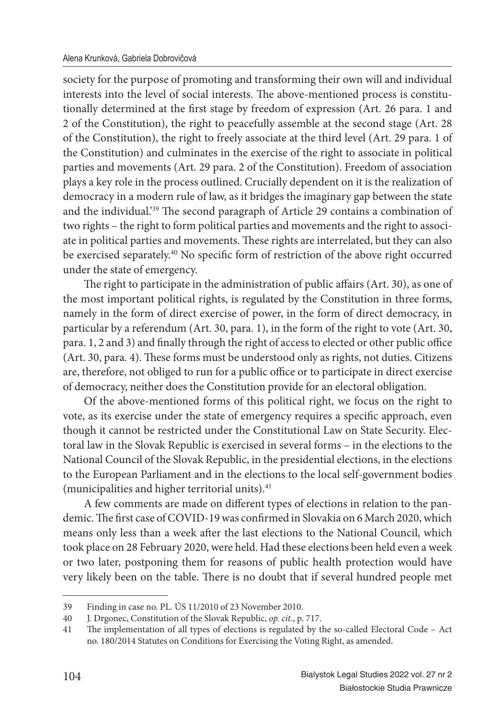society for the purpose of promoting and transforming their own will and individual interests into the level of social interests. The above-mentioned process is constitutionally determined at the first stage by freedom of expression (Art. 26 para. 1 and 2 of the Constitution), the right to peacefully assemble at the second stage (Art. 28 of the Constitution), the right to freely associate at the third level (Art. 29 para. 1 of the Constitution) and culminates in the exercise of the right to associate in political parties and movements (Art. 29 para. 2 of the Constitution). Freedom of association plays a key role in the process outlined. Crucially dependent on it is the realization of democracy in a modern rule of law, as it bridges the imaginary gap between the state and the individual.<sup>'39</sup> The second paragraph of Article 29 contains a combination of two rights – the right to form political parties and movements and the right to associate in political parties and movements. These rights are interrelated, but they can also be exercised separately.<sup>40</sup> No specific form of restriction of the above right occurred under the state of emergency.

The right to participate in the administration of public affairs (Art. 30), as one of the most important political rights, is regulated by the Constitution in three forms, namely in the form of direct exercise of power, in the form of direct democracy, in particular by a referendum (Art. 30, para. 1), in the form of the right to vote (Art. 30, para. 1, 2 and 3) and finally through the right of access to elected or other public office (Art. 30, para. 4). These forms must be understood only as rights, not duties. Citizens are, therefore, not obliged to run for a public office or to participate in direct exercise of democracy, neither does the Constitution provide for an electoral obligation.

Of the above-mentioned forms of this political right, we focus on the right to vote, as its exercise under the state of emergency requires a specific approach, even though it cannot be restricted under the Constitutional Law on State Security. Electoral law in the Slovak Republic is exercised in several forms – in the elections to the National Council of the Slovak Republic, in the presidential elections, in the elections to the European Parliament and in the elections to the local self-government bodies (municipalities and higher territorial units).<sup>41</sup>

A few comments are made on different types of elections in relation to the pandemic. The first case of COVID-19 was confirmed in Slovakia on 6 March 2020, which means only less than a week after the last elections to the National Council, which took place on 28 February 2020, were held. Had these elections been held even a week or two later, postponing them for reasons of public health protection would have very likely been on the table. There is no doubt that if several hundred people met

<sup>39</sup> Finding in case no. PL. ÚS 11/2010 of 23 November 2010.

<sup>40</sup> J. Drgonec, Constitution of the Slovak Republic, *op. cit.*, p. 717.

<sup>41</sup> The implementation of all types of elections is regulated by the so-called Electoral Code - Act no. 180/2014 Statutes on Conditions for Exercising the Voting Right, as amended.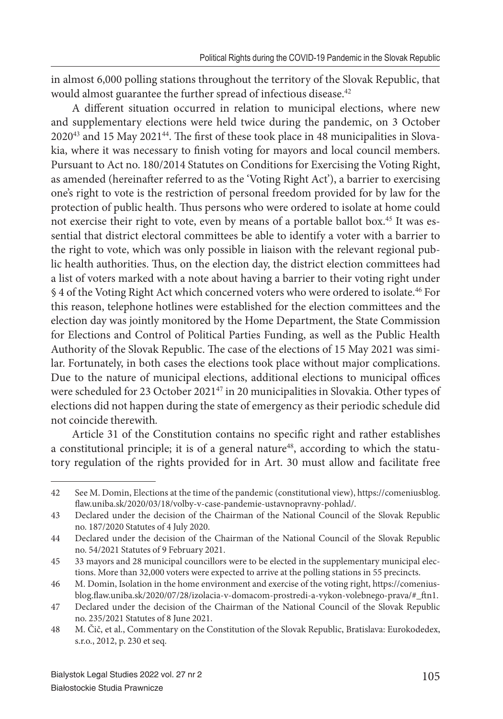in almost 6,000 polling stations throughout the territory of the Slovak Republic, that would almost guarantee the further spread of infectious disease.<sup>42</sup>

A different situation occurred in relation to municipal elections, where new and supplementary elections were held twice during the pandemic, on 3 October  $2020^{43}$  and 15 May  $2021^{44}$ . The first of these took place in 48 municipalities in Slovakia, where it was necessary to finish voting for mayors and local council members. Pursuant to Act no. 180/2014 Statutes on Conditions for Exercising the Voting Right, as amended (hereinafter referred to as the 'Voting Right Act'), a barrier to exercising one's right to vote is the restriction of personal freedom provided for by law for the protection of public health. Thus persons who were ordered to isolate at home could not exercise their right to vote, even by means of a portable ballot box.<sup>45</sup> It was essential that district electoral committees be able to identify a voter with a barrier to the right to vote, which was only possible in liaison with the relevant regional public health authorities. Thus, on the election day, the district election committees had a list of voters marked with a note about having a barrier to their voting right under § 4 of the Voting Right Act which concerned voters who were ordered to isolate.<sup>46</sup> For this reason, telephone hotlines were established for the election committees and the election day was jointly monitored by the Home Department, the State Commission for Elections and Control of Political Parties Funding, as well as the Public Health Authority of the Slovak Republic. The case of the elections of 15 May 2021 was similar. Fortunately, in both cases the elections took place without major complications. Due to the nature of municipal elections, additional elections to municipal offices were scheduled for 23 October 2021<sup>47</sup> in 20 municipalities in Slovakia. Other types of elections did not happen during the state of emergency as their periodic schedule did not coincide therewith*.* 

Article 31 of the Constitution contains no specific right and rather establishes a constitutional principle; it is of a general nature<sup>48</sup>, according to which the statutory regulation of the rights provided for in Art. 30 must allow and facilitate free

<sup>42</sup> See M. Domin, Elections at the time of the pandemic (constitutional view), https://comeniusblog. flaw.uniba.sk/2020/03/18/volby-v-case-pandemie-ustavnopravny-pohlad/.

<sup>43</sup> Declared under the decision of the Chairman of the National Council of the Slovak Republic no. 187/2020 Statutes of 4 July 2020.

<sup>44</sup> Declared under the decision of the Chairman of the National Council of the Slovak Republic no. 54/2021 Statutes of 9 February 2021.

<sup>45 33</sup> mayors and 28 municipal councillors were to be elected in the supplementary municipal elections. More than 32,000 voters were expected to arrive at the polling stations in 55 precincts.

<sup>46</sup> M. Domin, Isolation in the home environment and exercise of the voting right, https://comeniusblog.flaw.uniba.sk/2020/07/28/izolacia-v-domacom-prostredi-a-vykon-volebnego-prava/#\_ftn1.

<sup>47</sup> Declared under the decision of the Chairman of the National Council of the Slovak Republic no. 235/2021 Statutes of 8 June 2021.

<sup>48</sup> M. Čič, et al., Commentary on the Constitution of the Slovak Republic, Bratislava: Eurokodedex, s.r.o., 2012, p. 230 et seq.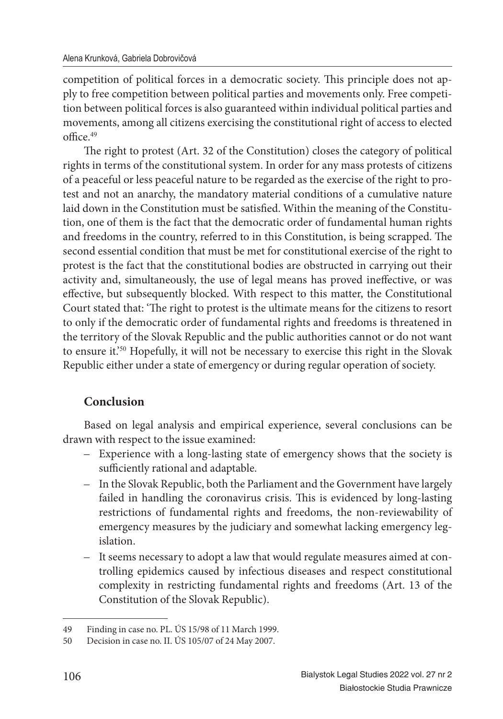competition of political forces in a democratic society. This principle does not apply to free competition between political parties and movements only. Free competition between political forces is also guaranteed within individual political parties and movements, among all citizens exercising the constitutional right of access to elected  $off <sub>49</sub>$ 

The right to protest (Art. 32 of the Constitution) closes the category of political rights in terms of the constitutional system. In order for any mass protests of citizens of a peaceful or less peaceful nature to be regarded as the exercise of the right to protest and not an anarchy, the mandatory material conditions of a cumulative nature laid down in the Constitution must be satisfied. Within the meaning of the Constitution, one of them is the fact that the democratic order of fundamental human rights and freedoms in the country, referred to in this Constitution, is being scrapped. The second essential condition that must be met for constitutional exercise of the right to protest is the fact that the constitutional bodies are obstructed in carrying out their activity and, simultaneously, the use of legal means has proved ineffective, or was effective, but subsequently blocked. With respect to this matter, the Constitutional Court stated that: 'The right to protest is the ultimate means for the citizens to resort to only if the democratic order of fundamental rights and freedoms is threatened in the territory of the Slovak Republic and the public authorities cannot or do not want to ensure it.'<sup>50</sup> Hopefully, it will not be necessary to exercise this right in the Slovak Republic either under a state of emergency or during regular operation of society.

## **Conclusion**

Based on legal analysis and empirical experience, several conclusions can be drawn with respect to the issue examined:

- Experience with a long-lasting state of emergency shows that the society is sufficiently rational and adaptable.
- In the Slovak Republic, both the Parliament and the Government have largely failed in handling the coronavirus crisis. This is evidenced by long-lasting restrictions of fundamental rights and freedoms, the non-reviewability of emergency measures by the judiciary and somewhat lacking emergency legislation.
- It seems necessary to adopt a law that would regulate measures aimed at controlling epidemics caused by infectious diseases and respect constitutional complexity in restricting fundamental rights and freedoms (Art. 13 of the Constitution of the Slovak Republic).

<sup>49</sup> Finding in case no. PL. ÚS 15/98 of 11 March 1999.

<sup>50</sup> Decision in case no. II. ÚS 105/07 of 24 May 2007.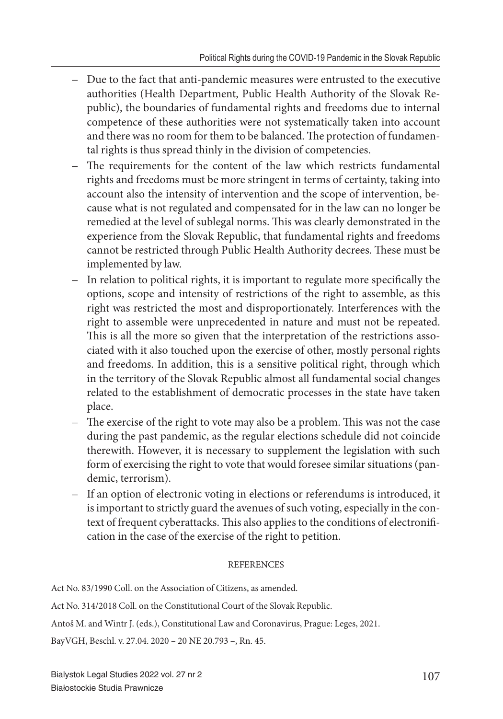- Due to the fact that anti-pandemic measures were entrusted to the executive authorities (Health Department, Public Health Authority of the Slovak Republic), the boundaries of fundamental rights and freedoms due to internal competence of these authorities were not systematically taken into account and there was no room for them to be balanced. The protection of fundamental rights is thus spread thinly in the division of competencies.
- The requirements for the content of the law which restricts fundamental rights and freedoms must be more stringent in terms of certainty, taking into account also the intensity of intervention and the scope of intervention, because what is not regulated and compensated for in the law can no longer be remedied at the level of sublegal norms. This was clearly demonstrated in the experience from the Slovak Republic, that fundamental rights and freedoms cannot be restricted through Public Health Authority decrees. These must be implemented by law.
- In relation to political rights, it is important to regulate more specifically the options, scope and intensity of restrictions of the right to assemble, as this right was restricted the most and disproportionately. Interferences with the right to assemble were unprecedented in nature and must not be repeated. This is all the more so given that the interpretation of the restrictions associated with it also touched upon the exercise of other, mostly personal rights and freedoms. In addition, this is a sensitive political right, through which in the territory of the Slovak Republic almost all fundamental social changes related to the establishment of democratic processes in the state have taken place.
- $-$  The exercise of the right to vote may also be a problem. This was not the case during the past pandemic, as the regular elections schedule did not coincide therewith. However, it is necessary to supplement the legislation with such form of exercising the right to vote that would foresee similar situations (pandemic, terrorism).
- If an option of electronic voting in elections or referendums is introduced, it is important to strictly guard the avenues of such voting, especially in the context of frequent cyberattacks. This also applies to the conditions of electronification in the case of the exercise of the right to petition.

#### **REFERENCES**

Act No. 83/1990 Coll. on the Association of Citizens, as amended.

Act No. 314/2018 Coll. on the Constitutional Court of the Slovak Republic.

Antoš M. and Wintr J. (eds.), Constitutional Law and Coronavirus, Prague: Leges, 2021.

BayVGH, Beschl. v. 27.04. 2020 – 20 NE 20.793 –, Rn. 45.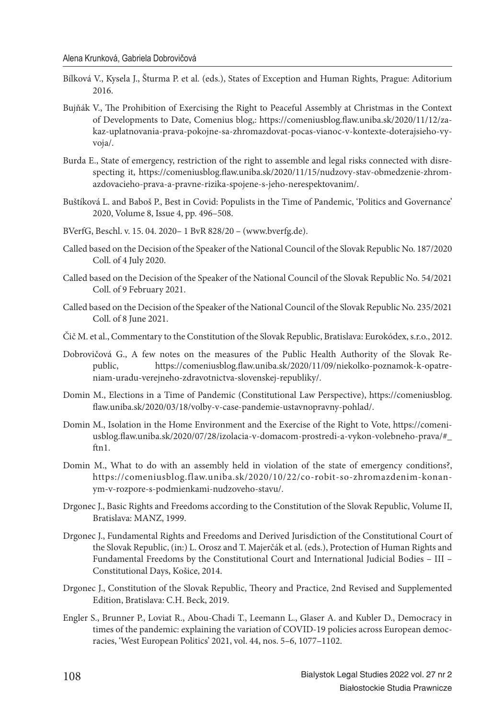- Bílková V., Kysela J., Šturma P. et al. (eds.), States of Exception and Human Rights, Prague: Aditorium 2016.
- Bujňák V., The Prohibition of Exercising the Right to Peaceful Assembly at Christmas in the Context of Developments to Date, Comenius blog,: https://comeniusblog.flaw.uniba.sk/2020/11/12/zakaz-uplatnovania-prava-pokojne-sa-zhromazdovat-pocas-vianoc-v-kontexte-doterajsieho-vyvoja/.
- Burda E., State of emergency, restriction of the right to assemble and legal risks connected with disrespecting it, https://comeniusblog.flaw.uniba.sk/2020/11/15/nudzovy-stav-obmedzenie-zhromazdovacieho-prava-a-pravne-rizika-spojene-s-jeho-nerespektovanim/.
- Buštíková L. and Baboš P., Best in Covid: Populists in the Time of Pandemic, 'Politics and Governance' 2020, Volume 8, Issue 4, pp. 496–508.
- BVerfG, Beschl. v. 15. 04. 2020– 1 BvR 828/20 (www.bverfg.de).
- Called based on the Decision of the Speaker of the National Council of the Slovak Republic No. 187/2020 Coll. of 4 July 2020.
- Called based on the Decision of the Speaker of the National Council of the Slovak Republic No. 54/2021 Coll. of 9 February 2021.
- Called based on the Decision of the Speaker of the National Council of the Slovak Republic No. 235/2021 Coll. of 8 June 2021.
- Čič M. et al., Commentary to the Constitution of the Slovak Republic, Bratislava: Eurokódex, s.r.o., 2012.
- Dobrovičová G., A few notes on the measures of the Public Health Authority of the Slovak Republic, https://comeniusblog.flaw.uniba.sk/2020/11/09/niekolko-poznamok-k-opatreniam-uradu-verejneho-zdravotnictva-slovenskej-republiky/.
- Domin M., Elections in a Time of Pandemic (Constitutional Law Perspective), https://comeniusblog. flaw.uniba.sk/2020/03/18/volby-v-case-pandemie-ustavnopravny-pohlad/.
- Domin M., Isolation in the Home Environment and the Exercise of the Right to Vote, https://comeniusblog.flaw.uniba.sk/2020/07/28/izolacia-v-domacom-prostredi-a-vykon-volebneho-prava/#\_ ftn1.
- Domin M., What to do with an assembly held in violation of the state of emergency conditions?, https://comeniusblog.flaw.uniba.sk/2020/10/22/co-robit-so-zhromazdenim-konanym-v-rozpore-s-podmienkami-nudzoveho-stavu/.
- Drgonec J., Basic Rights and Freedoms according to the Constitution of the Slovak Republic, Volume II, Bratislava: MANZ, 1999.
- Drgonec J., Fundamental Rights and Freedoms and Derived Jurisdiction of the Constitutional Court of the Slovak Republic, (in:) L. Orosz and T. Majerčák et al. (eds.), Protection of Human Rights and Fundamental Freedoms by the Constitutional Court and International Judicial Bodies – III – Constitutional Days, Košice, 2014.
- Drgonec J., Constitution of the Slovak Republic, Theory and Practice, 2nd Revised and Supplemented Edition, Bratislava: C.H. Beck, 2019.
- Engler S., Brunner P., Loviat R., Abou-Chadi T., Leemann L., Glaser A. and Kubler D., Democracy in times of the pandemic: explaining the variation of COVID-19 policies across European democracies, 'West European Politics' 2021, vol. 44, nos. 5–6, 1077–1102.